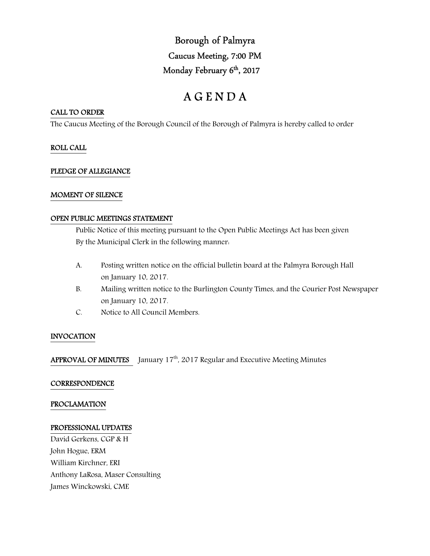# Borough of Palmyra Caucus Meeting, 7:00 PM Monday February 6<sup>th</sup>, 2017

# A G E N D A

# CALL TO ORDER

The Caucus Meeting of the Borough Council of the Borough of Palmyra is hereby called to order

# ROLL CALL

# PLEDGE OF ALLEGIANCE

# MOMENT OF SILENCE

# OPEN PUBLIC MEETINGS STATEMENT

 Public Notice of this meeting pursuant to the Open Public Meetings Act has been given By the Municipal Clerk in the following manner:

- A. Posting written notice on the official bulletin board at the Palmyra Borough Hall on January 10, 2017.
- B. Mailing written notice to the Burlington County Times, and the Courier Post Newspaper on January 10, 2017.
- C. Notice to All Council Members.

# INVOCATION

APPROVAL OF MINUTES January 17<sup>th</sup>, 2017 Regular and Executive Meeting Minutes

# **CORRESPONDENCE**

# PROCLAMATION

#### PROFESSIONAL UPDATES

David Gerkens, CGP & H John Hogue, ERM William Kirchner, ERI Anthony LaRosa, Maser Consulting James Winckowski, CME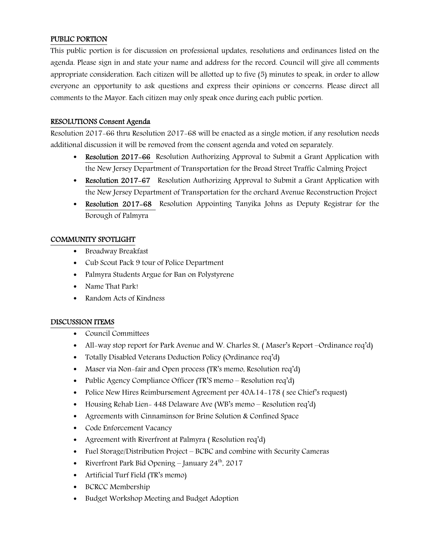# PUBLIC PORTION

This public portion is for discussion on professional updates, resolutions and ordinances listed on the agenda. Please sign in and state your name and address for the record. Council will give all comments appropriate consideration. Each citizen will be allotted up to five (5) minutes to speak, in order to allow everyone an opportunity to ask questions and express their opinions or concerns. Please direct all comments to the Mayor. Each citizen may only speak once during each public portion.

# RESOLUTIONS Consent Agenda

Resolution 2017-66 thru Resolution 2017-68 will be enacted as a single motion, if any resolution needs additional discussion it will be removed from the consent agenda and voted on separately.

- Resolution 2017-66 Resolution Authorizing Approval to Submit a Grant Application with the New Jersey Department of Transportation for the Broad Street Traffic Calming Project
- Resolution 2017–67 Resolution Authorizing Approval to Submit a Grant Application with the New Jersey Department of Transportation for the orchard Avenue Reconstruction Project
- Resolution 2017-68 Resolution Appointing Tanyika Johns as Deputy Registrar for the Borough of Palmyra

# COMMUNITY SPOTLIGHT

- Broadway Breakfast
- Cub Scout Pack 9 tour of Police Department
- Palmyra Students Argue for Ban on Polystyrene
- Name That Park!
- Random Acts of Kindness

# DISCUSSION ITEMS

- Council Committees
- All-way stop report for Park Avenue and W. Charles St, (Maser's Report –Ordinance req'd)
- Totally Disabled Veterans Deduction Policy (Ordinance req'd)
- Maser via Non-fair and Open process (TR's memo, Resolution req'd)
- Public Agency Compliance Officer (TR'S memo Resolution req'd)
- Police New Hires Reimbursement Agreement per 40A:14-178 ( see Chief's request)
- Housing Rehab Lien 448 Delaware Ave (WB's memo Resolution req'd)
- Agreements with Cinnaminson for Brine Solution & Confined Space
- Code Enforcement Vacancy
- Agreement with Riverfront at Palmyra (Resolution req'd)
- Fuel Storage/Distribution Project BCBC and combine with Security Cameras
- Riverfront Park Bid Opening January  $24<sup>th</sup>$ , 2017
- Artificial Turf Field (TR's memo)
- BCRCC Membership
- Budget Workshop Meeting and Budget Adoption